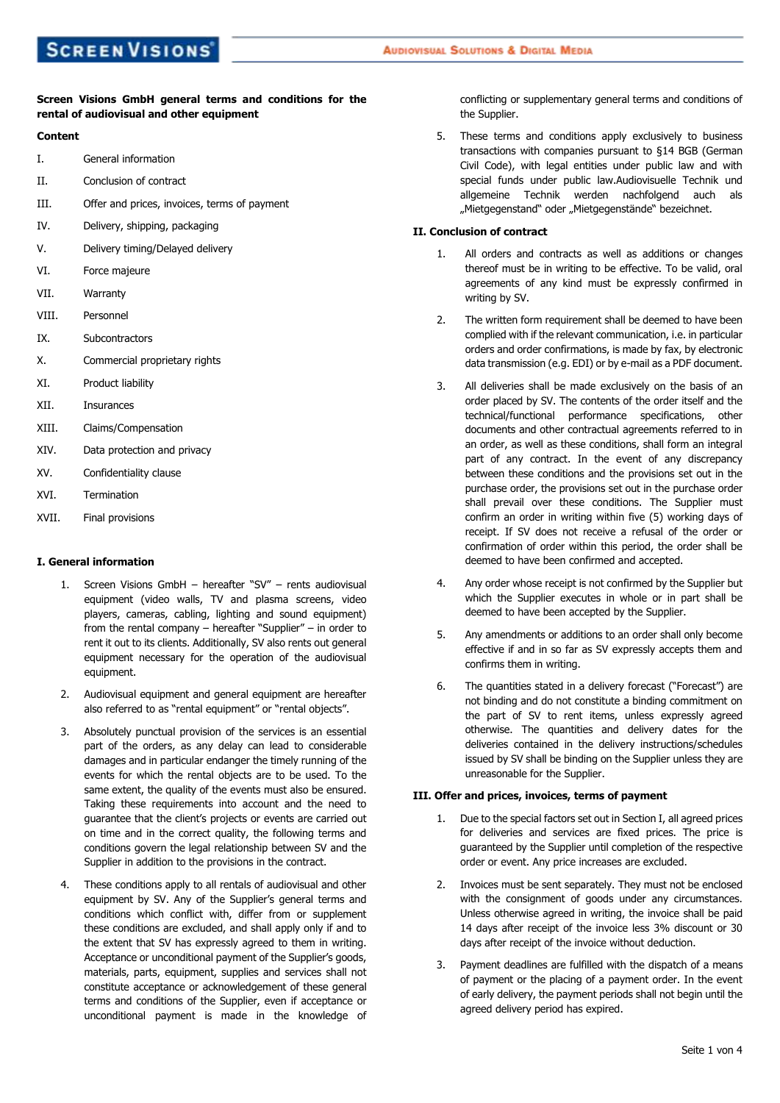# **Screen Visions GmbH general terms and conditions for the rental of audiovisual and other equipment**

# **Content**

- I. General information
- II. Conclusion of contract
- III. Offer and prices, invoices, terms of payment
- IV. Delivery, shipping, packaging
- V. Delivery timing/Delayed delivery
- VI. Force majeure
- VII. Warranty
- VIII. Personnel
- IX. Subcontractors
- X. Commercial proprietary rights
- XI. Product liability
- XII. Insurances
- XIII. Claims/Compensation
- XIV. Data protection and privacy
- XV. Confidentiality clause
- XVI. Termination
- XVII. Final provisions

## **I. General information**

- 1. Screen Visions GmbH hereafter "SV" rents audiovisual equipment (video walls, TV and plasma screens, video players, cameras, cabling, lighting and sound equipment) from the rental company – hereafter "Supplier" – in order to rent it out to its clients. Additionally, SV also rents out general equipment necessary for the operation of the audiovisual equipment.
- 2. Audiovisual equipment and general equipment are hereafter also referred to as "rental equipment" or "rental objects".
- 3. Absolutely punctual provision of the services is an essential part of the orders, as any delay can lead to considerable damages and in particular endanger the timely running of the events for which the rental objects are to be used. To the same extent, the quality of the events must also be ensured. Taking these requirements into account and the need to guarantee that the client's projects or events are carried out on time and in the correct quality, the following terms and conditions govern the legal relationship between SV and the Supplier in addition to the provisions in the contract.
- 4. These conditions apply to all rentals of audiovisual and other equipment by SV. Any of the Supplier's general terms and conditions which conflict with, differ from or supplement these conditions are excluded, and shall apply only if and to the extent that SV has expressly agreed to them in writing. Acceptance or unconditional payment of the Supplier's goods, materials, parts, equipment, supplies and services shall not constitute acceptance or acknowledgement of these general terms and conditions of the Supplier, even if acceptance or unconditional payment is made in the knowledge of

conflicting or supplementary general terms and conditions of the Supplier.

5. These terms and conditions apply exclusively to business transactions with companies pursuant to §14 BGB (German Civil Code), with legal entities under public law and with special funds under public law.Audiovisuelle Technik und allgemeine Technik werden nachfolgend auch als "Mietgegenstand" oder "Mietgegenstände" bezeichnet.

### **II. Conclusion of contract**

- All orders and contracts as well as additions or changes thereof must be in writing to be effective. To be valid, oral agreements of any kind must be expressly confirmed in writing by SV.
- 2. The written form requirement shall be deemed to have been complied with if the relevant communication, i.e. in particular orders and order confirmations, is made by fax, by electronic data transmission (e.g. EDI) or by e-mail as a PDF document.
- 3. All deliveries shall be made exclusively on the basis of an order placed by SV. The contents of the order itself and the technical/functional performance specifications, other documents and other contractual agreements referred to in an order, as well as these conditions, shall form an integral part of any contract. In the event of any discrepancy between these conditions and the provisions set out in the purchase order, the provisions set out in the purchase order shall prevail over these conditions. The Supplier must confirm an order in writing within five (5) working days of receipt. If SV does not receive a refusal of the order or confirmation of order within this period, the order shall be deemed to have been confirmed and accepted.
- 4. Any order whose receipt is not confirmed by the Supplier but which the Supplier executes in whole or in part shall be deemed to have been accepted by the Supplier.
- 5. Any amendments or additions to an order shall only become effective if and in so far as SV expressly accepts them and confirms them in writing.
- 6. The quantities stated in a delivery forecast ("Forecast") are not binding and do not constitute a binding commitment on the part of SV to rent items, unless expressly agreed otherwise. The quantities and delivery dates for the deliveries contained in the delivery instructions/schedules issued by SV shall be binding on the Supplier unless they are unreasonable for the Supplier.

### **III. Offer and prices, invoices, terms of payment**

- 1. Due to the special factors set out in Section I, all agreed prices for deliveries and services are fixed prices. The price is guaranteed by the Supplier until completion of the respective order or event. Any price increases are excluded.
- 2. Invoices must be sent separately. They must not be enclosed with the consignment of goods under any circumstances. Unless otherwise agreed in writing, the invoice shall be paid 14 days after receipt of the invoice less 3% discount or 30 days after receipt of the invoice without deduction.
- 3. Payment deadlines are fulfilled with the dispatch of a means of payment or the placing of a payment order. In the event of early delivery, the payment periods shall not begin until the agreed delivery period has expired.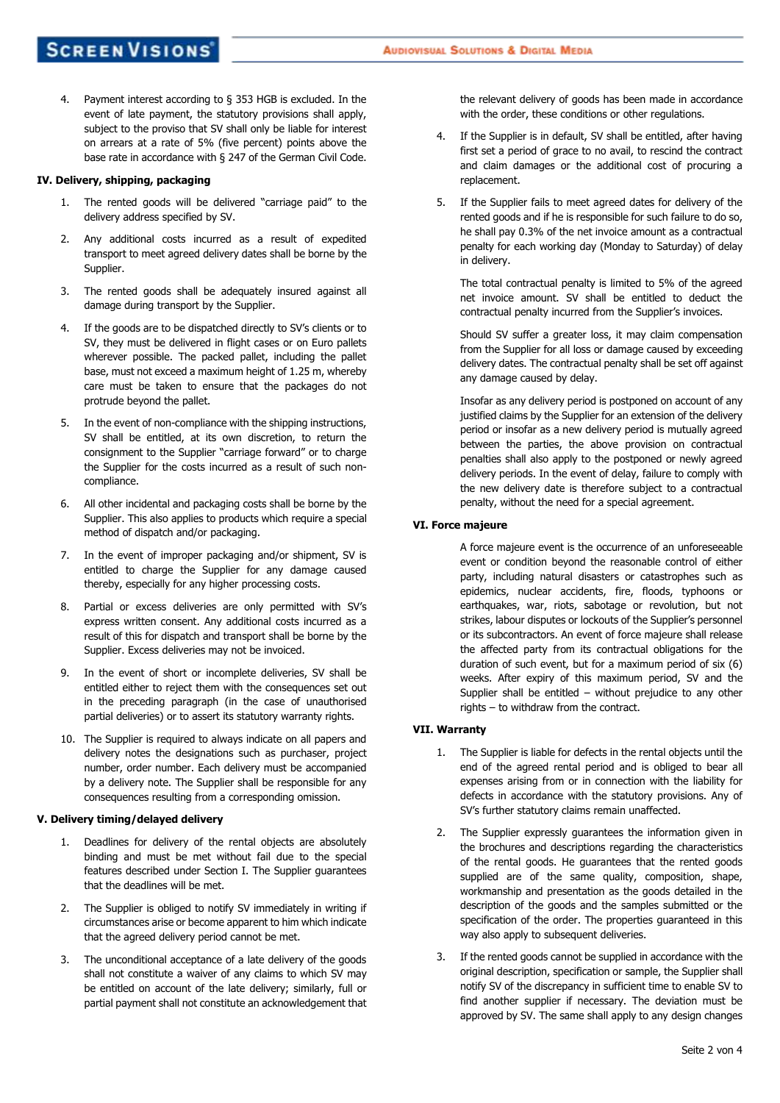4. Payment interest according to § 353 HGB is excluded. In the event of late payment, the statutory provisions shall apply, subject to the proviso that SV shall only be liable for interest on arrears at a rate of 5% (five percent) points above the base rate in accordance with § 247 of the German Civil Code.

#### **IV. Delivery, shipping, packaging**

- 1. The rented goods will be delivered "carriage paid" to the delivery address specified by SV.
- 2. Any additional costs incurred as a result of expedited transport to meet agreed delivery dates shall be borne by the Supplier.
- 3. The rented goods shall be adequately insured against all damage during transport by the Supplier.
- 4. If the goods are to be dispatched directly to SV's clients or to SV, they must be delivered in flight cases or on Euro pallets wherever possible. The packed pallet, including the pallet base, must not exceed a maximum height of 1.25 m, whereby care must be taken to ensure that the packages do not protrude beyond the pallet.
- 5. In the event of non-compliance with the shipping instructions, SV shall be entitled, at its own discretion, to return the consignment to the Supplier "carriage forward" or to charge the Supplier for the costs incurred as a result of such noncompliance.
- 6. All other incidental and packaging costs shall be borne by the Supplier. This also applies to products which require a special method of dispatch and/or packaging.
- 7. In the event of improper packaging and/or shipment, SV is entitled to charge the Supplier for any damage caused thereby, especially for any higher processing costs.
- 8. Partial or excess deliveries are only permitted with SV's express written consent. Any additional costs incurred as a result of this for dispatch and transport shall be borne by the Supplier. Excess deliveries may not be invoiced.
- 9. In the event of short or incomplete deliveries, SV shall be entitled either to reject them with the consequences set out in the preceding paragraph (in the case of unauthorised partial deliveries) or to assert its statutory warranty rights.
- 10. The Supplier is required to always indicate on all papers and delivery notes the designations such as purchaser, project number, order number. Each delivery must be accompanied by a delivery note. The Supplier shall be responsible for any consequences resulting from a corresponding omission.

#### **V. Delivery timing/delayed delivery**

- 1. Deadlines for delivery of the rental objects are absolutely binding and must be met without fail due to the special features described under Section I. The Supplier guarantees that the deadlines will be met.
- 2. The Supplier is obliged to notify SV immediately in writing if circumstances arise or become apparent to him which indicate that the agreed delivery period cannot be met.
- 3. The unconditional acceptance of a late delivery of the goods shall not constitute a waiver of any claims to which SV may be entitled on account of the late delivery; similarly, full or partial payment shall not constitute an acknowledgement that

the relevant delivery of goods has been made in accordance with the order, these conditions or other regulations.

- 4. If the Supplier is in default, SV shall be entitled, after having first set a period of grace to no avail, to rescind the contract and claim damages or the additional cost of procuring a replacement.
- 5. If the Supplier fails to meet agreed dates for delivery of the rented goods and if he is responsible for such failure to do so, he shall pay 0.3% of the net invoice amount as a contractual penalty for each working day (Monday to Saturday) of delay in delivery.

The total contractual penalty is limited to 5% of the agreed net invoice amount. SV shall be entitled to deduct the contractual penalty incurred from the Supplier's invoices.

Should SV suffer a greater loss, it may claim compensation from the Supplier for all loss or damage caused by exceeding delivery dates. The contractual penalty shall be set off against any damage caused by delay.

Insofar as any delivery period is postponed on account of any justified claims by the Supplier for an extension of the delivery period or insofar as a new delivery period is mutually agreed between the parties, the above provision on contractual penalties shall also apply to the postponed or newly agreed delivery periods. In the event of delay, failure to comply with the new delivery date is therefore subject to a contractual penalty, without the need for a special agreement.

## **VI. Force majeure**

A force majeure event is the occurrence of an unforeseeable event or condition beyond the reasonable control of either party, including natural disasters or catastrophes such as epidemics, nuclear accidents, fire, floods, typhoons or earthquakes, war, riots, sabotage or revolution, but not strikes, labour disputes or lockouts of the Supplier's personnel or its subcontractors. An event of force majeure shall release the affected party from its contractual obligations for the duration of such event, but for a maximum period of six (6) weeks. After expiry of this maximum period, SV and the Supplier shall be entitled – without prejudice to any other rights – to withdraw from the contract.

## **VII. Warranty**

- 1. The Supplier is liable for defects in the rental objects until the end of the agreed rental period and is obliged to bear all expenses arising from or in connection with the liability for defects in accordance with the statutory provisions. Any of SV's further statutory claims remain unaffected.
- 2. The Supplier expressly guarantees the information given in the brochures and descriptions regarding the characteristics of the rental goods. He guarantees that the rented goods supplied are of the same quality, composition, shape, workmanship and presentation as the goods detailed in the description of the goods and the samples submitted or the specification of the order. The properties guaranteed in this way also apply to subsequent deliveries.
- 3. If the rented goods cannot be supplied in accordance with the original description, specification or sample, the Supplier shall notify SV of the discrepancy in sufficient time to enable SV to find another supplier if necessary. The deviation must be approved by SV. The same shall apply to any design changes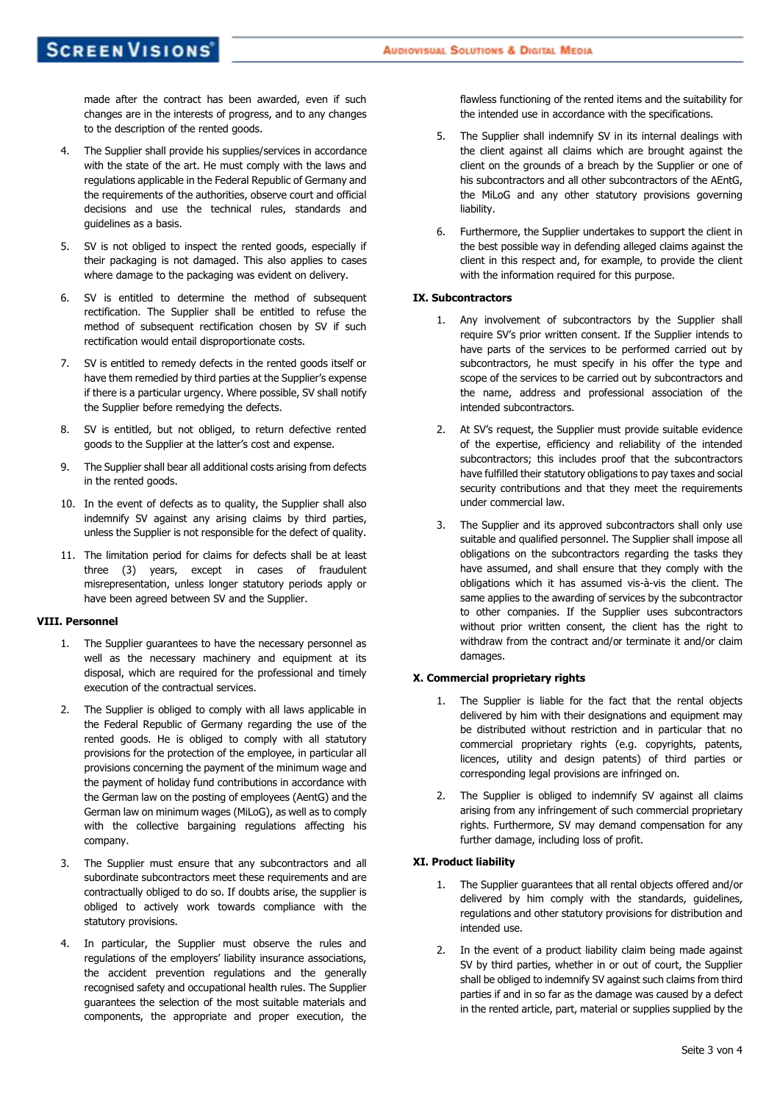made after the contract has been awarded, even if such changes are in the interests of progress, and to any changes to the description of the rented goods.

- 4. The Supplier shall provide his supplies/services in accordance with the state of the art. He must comply with the laws and regulations applicable in the Federal Republic of Germany and the requirements of the authorities, observe court and official decisions and use the technical rules, standards and guidelines as a basis.
- 5. SV is not obliged to inspect the rented goods, especially if their packaging is not damaged. This also applies to cases where damage to the packaging was evident on delivery.
- 6. SV is entitled to determine the method of subsequent rectification. The Supplier shall be entitled to refuse the method of subsequent rectification chosen by SV if such rectification would entail disproportionate costs.
- 7. SV is entitled to remedy defects in the rented goods itself or have them remedied by third parties at the Supplier's expense if there is a particular urgency. Where possible, SV shall notify the Supplier before remedying the defects.
- 8. SV is entitled, but not obliged, to return defective rented goods to the Supplier at the latter's cost and expense.
- 9. The Supplier shall bear all additional costs arising from defects in the rented goods.
- 10. In the event of defects as to quality, the Supplier shall also indemnify SV against any arising claims by third parties, unless the Supplier is not responsible for the defect of quality.
- 11. The limitation period for claims for defects shall be at least three (3) years, except in cases of fraudulent misrepresentation, unless longer statutory periods apply or have been agreed between SV and the Supplier.

### **VIII. Personnel**

- 1. The Supplier guarantees to have the necessary personnel as well as the necessary machinery and equipment at its disposal, which are required for the professional and timely execution of the contractual services.
- 2. The Supplier is obliged to comply with all laws applicable in the Federal Republic of Germany regarding the use of the rented goods. He is obliged to comply with all statutory provisions for the protection of the employee, in particular all provisions concerning the payment of the minimum wage and the payment of holiday fund contributions in accordance with the German law on the posting of employees (AentG) and the German law on minimum wages (MiLoG), as well as to comply with the collective bargaining regulations affecting his company.
- 3. The Supplier must ensure that any subcontractors and all subordinate subcontractors meet these requirements and are contractually obliged to do so. If doubts arise, the supplier is obliged to actively work towards compliance with the statutory provisions.
- 4. In particular, the Supplier must observe the rules and regulations of the employers' liability insurance associations, the accident prevention regulations and the generally recognised safety and occupational health rules. The Supplier guarantees the selection of the most suitable materials and components, the appropriate and proper execution, the

flawless functioning of the rented items and the suitability for the intended use in accordance with the specifications.

- 5. The Supplier shall indemnify SV in its internal dealings with the client against all claims which are brought against the client on the grounds of a breach by the Supplier or one of his subcontractors and all other subcontractors of the AEntG, the MiLoG and any other statutory provisions governing liability.
- 6. Furthermore, the Supplier undertakes to support the client in the best possible way in defending alleged claims against the client in this respect and, for example, to provide the client with the information required for this purpose.

#### **IX. Subcontractors**

- 1. Any involvement of subcontractors by the Supplier shall require SV's prior written consent. If the Supplier intends to have parts of the services to be performed carried out by subcontractors, he must specify in his offer the type and scope of the services to be carried out by subcontractors and the name, address and professional association of the intended subcontractors.
- 2. At SV's request, the Supplier must provide suitable evidence of the expertise, efficiency and reliability of the intended subcontractors; this includes proof that the subcontractors have fulfilled their statutory obligations to pay taxes and social security contributions and that they meet the requirements under commercial law.
- 3. The Supplier and its approved subcontractors shall only use suitable and qualified personnel. The Supplier shall impose all obligations on the subcontractors regarding the tasks they have assumed, and shall ensure that they comply with the obligations which it has assumed vis-à-vis the client. The same applies to the awarding of services by the subcontractor to other companies. If the Supplier uses subcontractors without prior written consent, the client has the right to withdraw from the contract and/or terminate it and/or claim damages.

## **X. Commercial proprietary rights**

- 1. The Supplier is liable for the fact that the rental objects delivered by him with their designations and equipment may be distributed without restriction and in particular that no commercial proprietary rights (e.g. copyrights, patents, licences, utility and design patents) of third parties or corresponding legal provisions are infringed on.
- 2. The Supplier is obliged to indemnify SV against all claims arising from any infringement of such commercial proprietary rights. Furthermore, SV may demand compensation for any further damage, including loss of profit.

## **XI. Product liability**

- 1. The Supplier guarantees that all rental objects offered and/or delivered by him comply with the standards, guidelines, regulations and other statutory provisions for distribution and intended use.
- 2. In the event of a product liability claim being made against SV by third parties, whether in or out of court, the Supplier shall be obliged to indemnify SV against such claims from third parties if and in so far as the damage was caused by a defect in the rented article, part, material or supplies supplied by the